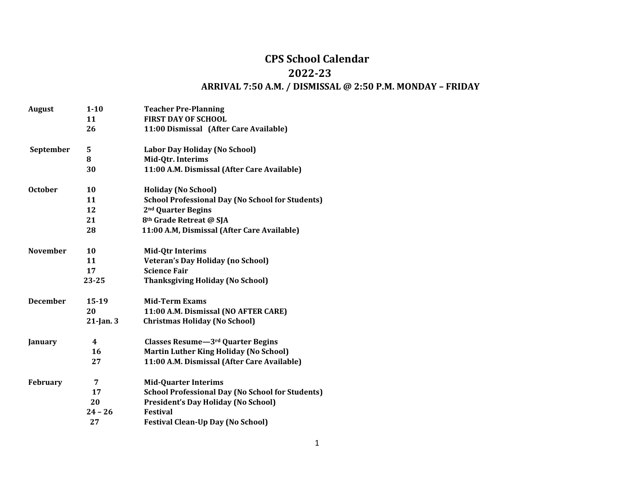## **CPS School Calendar 2022-23 ARRIVAL 7:50 A.M. / DISMISSAL @ 2:50 P.M. MONDAY – FRIDAY**

| <b>August</b>   | $1 - 10$     | <b>Teacher Pre-Planning</b>                             |
|-----------------|--------------|---------------------------------------------------------|
|                 | 11           | <b>FIRST DAY OF SCHOOL</b>                              |
|                 | 26           | 11:00 Dismissal (After Care Available)                  |
| September       | 5            | Labor Day Holiday (No School)                           |
|                 | 8            | Mid-Qtr. Interims                                       |
|                 | 30           | 11:00 A.M. Dismissal (After Care Available)             |
| <b>October</b>  | 10           | <b>Holiday (No School)</b>                              |
|                 | 11           | <b>School Professional Day (No School for Students)</b> |
|                 | 12           | 2 <sup>nd</sup> Quarter Begins                          |
|                 | 21           | 8 <sup>th</sup> Grade Retreat @ SJA                     |
|                 | 28           | 11:00 A.M, Dismissal (After Care Available)             |
| <b>November</b> | 10           | <b>Mid-Qtr Interims</b>                                 |
|                 | 11           | <b>Veteran's Day Holiday (no School)</b>                |
|                 | 17           | <b>Science Fair</b>                                     |
|                 | 23-25        | <b>Thanksgiving Holiday (No School)</b>                 |
| <b>December</b> | $15-19$      | <b>Mid-Term Exams</b>                                   |
|                 | 20           | 11:00 A.M. Dismissal (NO AFTER CARE)                    |
|                 | $21$ -Jan. 3 | <b>Christmas Holiday (No School)</b>                    |
| January         | 4            | Classes Resume-3rd Quarter Begins                       |
|                 | 16           | <b>Martin Luther King Holiday (No School)</b>           |
|                 | 27           | 11:00 A.M. Dismissal (After Care Available)             |
| <b>February</b> | 7            | <b>Mid-Quarter Interims</b>                             |
|                 | 17           | <b>School Professional Day (No School for Students)</b> |
|                 | 20           | <b>President's Day Holiday (No School)</b>              |
|                 | $24 - 26$    | <b>Festival</b>                                         |
|                 | 27           | <b>Festival Clean-Up Day (No School)</b>                |